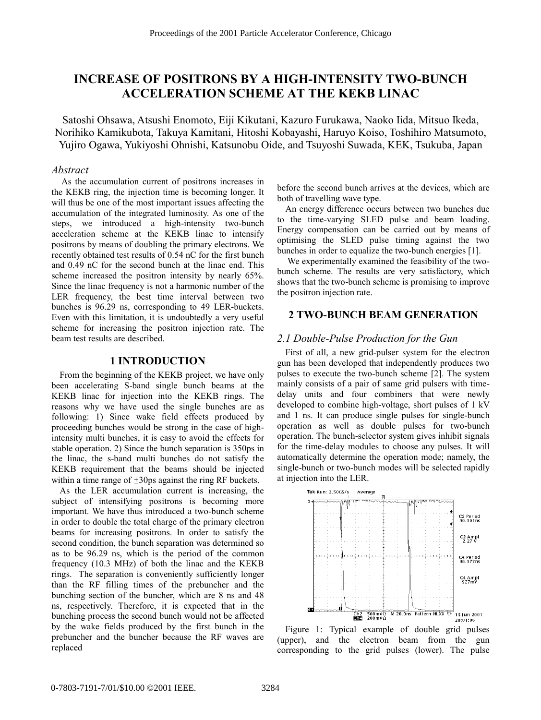# **INCREASE OF POSITRONS BY A HIGH-INTENSITY TWO-BUNCH ACCELERATION SCHEME AT THE KEKB LINAC**

Satoshi Ohsawa, Atsushi Enomoto, Eiji Kikutani, Kazuro Furukawa, Naoko Iida, Mitsuo Ikeda, Norihiko Kamikubota, Takuya Kamitani, Hitoshi Kobayashi, Haruyo Koiso, Toshihiro Matsumoto, Yujiro Ogawa, Yukiyoshi Ohnishi, Katsunobu Oide, and Tsuyoshi Suwada, KEK, Tsukuba, Japan

### *Abstract*

 As the accumulation current of positrons increases in the KEKB ring, the injection time is becoming longer. It will thus be one of the most important issues affecting the accumulation of the integrated luminosity. As one of the steps, we introduced a high-intensity two-bunch acceleration scheme at the KEKB linac to intensify positrons by means of doubling the primary electrons. We recently obtained test results of 0.54 nC for the first bunch and 0.49 nC for the second bunch at the linac end. This scheme increased the positron intensity by nearly 65%. Since the linac frequency is not a harmonic number of the LER frequency, the best time interval between two bunches is 96.29 ns, corresponding to 49 LER-buckets. Even with this limitation, it is undoubtedly a very useful scheme for increasing the positron injection rate. The beam test results are described.

### **1 INTRODUCTION**

From the beginning of the KEKB project, we have only been accelerating S-band single bunch beams at the KEKB linac for injection into the KEKB rings. The reasons why we have used the single bunches are as following: 1) Since wake field effects produced by proceeding bunches would be strong in the case of highintensity multi bunches, it is easy to avoid the effects for stable operation. 2) Since the bunch separation is 350ps in the linac, the s-band multi bunches do not satisfy the KEKB requirement that the beams should be injected within a time range of  $\pm 30$ ps against the ring RF buckets.

As the LER accumulation current is increasing, the subject of intensifying positrons is becoming more important. We have thus introduced a two-bunch scheme in order to double the total charge of the primary electron beams for increasing positrons. In order to satisfy the second condition, the bunch separation was determined so as to be 96.29 ns, which is the period of the common frequency (10.3 MHz) of both the linac and the KEKB rings. The separation is conveniently sufficiently longer than the RF filling times of the prebuncher and the bunching section of the buncher, which are 8 ns and 48 ns, respectively. Therefore, it is expected that in the bunching process the second bunch would not be affected by the wake fields produced by the first bunch in the prebuncher and the buncher because the RF waves are replaced

before the second bunch arrives at the devices, which are both of travelling wave type.

An energy difference occurs between two bunches due to the time-varying SLED pulse and beam loading. Energy compensation can be carried out by means of optimising the SLED pulse timing against the two bunches in order to equalize the two-bunch energies [1].

 We experimentally examined the feasibility of the twobunch scheme. The results are very satisfactory, which shows that the two-bunch scheme is promising to improve the positron injection rate.

# **2 TWO-BUNCH BEAM GENERATION**

## *2.1 Double-Pulse Production for the Gun*

First of all, a new grid-pulser system for the electron gun has been developed that independently produces two pulses to execute the two-bunch scheme [2]. The system mainly consists of a pair of same grid pulsers with timedelay units and four combiners that were newly developed to combine high-voltage, short pulses of 1 kV and 1 ns. It can produce single pulses for single-bunch operation as well as double pulses for two-bunch operation. The bunch-selector system gives inhibit signals for the time-delay modules to choose any pulses. It will automatically determine the operation mode; namely, the single-bunch or two-bunch modes will be selected rapidly at injection into the LER.



Figure 1: Typical example of double grid pulses (upper), and the electron beam from the gun corresponding to the grid pulses (lower). The pulse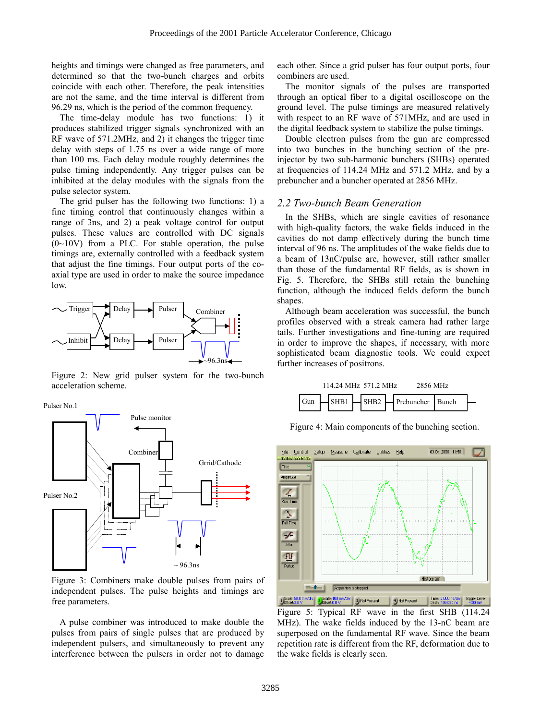heights and timings were changed as free parameters, and determined so that the two-bunch charges and orbits coincide with each other. Therefore, the peak intensities are not the same, and the time interval is different from 96.29 ns, which is the period of the common frequency.

The time-delay module has two functions: 1) it produces stabilized trigger signals synchronized with an RF wave of 571.2MHz, and 2) it changes the trigger time delay with steps of 1.75 ns over a wide range of more than 100 ms. Each delay module roughly determines the pulse timing independently. Any trigger pulses can be inhibited at the delay modules with the signals from the pulse selector system.

The grid pulser has the following two functions: 1) a fine timing control that continuously changes within a range of 3ns, and 2) a peak voltage control for output pulses. These values are controlled with DC signals  $(0~10V)$  from a PLC. For stable operation, the pulse timings are, externally controlled with a feedback system that adjust the fine timings. Four output ports of the coaxial type are used in order to make the source impedance low.



Figure 2: New grid pulser system for the two-bunch acceleration scheme.

Pulser No.1



Figure 3: Combiners make double pulses from pairs of independent pulses. The pulse heights and timings are free parameters.

A pulse combiner was introduced to make double the pulses from pairs of single pulses that are produced by independent pulsers, and simultaneously to prevent any interference between the pulsers in order not to damage

each other. Since a grid pulser has four output ports, four combiners are used.

The monitor signals of the pulses are transported through an optical fiber to a digital oscilloscope on the ground level. The pulse timings are measured relatively with respect to an RF wave of 571MHz, and are used in the digital feedback system to stabilize the pulse timings.

Double electron pulses from the gun are compressed into two bunches in the bunching section of the preinjector by two sub-harmonic bunchers (SHBs) operated at frequencies of 114.24 MHz and 571.2 MHz, and by a prebuncher and a buncher operated at 2856 MHz.

#### *2.2 Two-bunch Beam Generation*

In the SHBs, which are single cavities of resonance with high-quality factors, the wake fields induced in the cavities do not damp effectively during the bunch time interval of 96 ns. The amplitudes of the wake fields due to a beam of 13nC/pulse are, however, still rather smaller than those of the fundamental RF fields, as is shown in Fig. 5. Therefore, the SHBs still retain the bunching function, although the induced fields deform the bunch shapes.

Although beam acceleration was successful, the bunch profiles observed with a streak camera had rather large tails. Further investigations and fine-tuning are required in order to improve the shapes, if necessary, with more sophisticated beam diagnostic tools. We could expect further increases of positrons.



Figure 4: Main components of the bunching section.



Figure 5: Typical RF wave in the first SHB (114.24 MHz). The wake fields induced by the 13-nC beam are superposed on the fundamental RF wave. Since the beam repetition rate is different from the RF, deformation due to the wake fields is clearly seen.